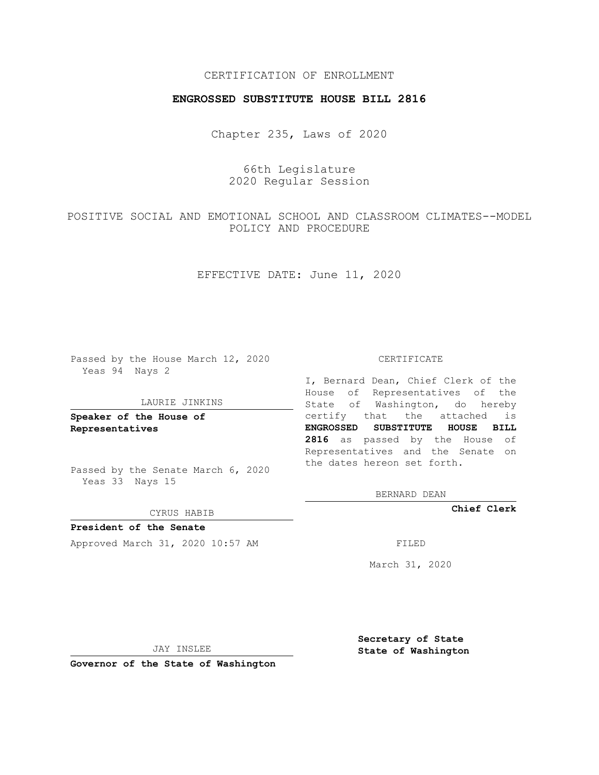## CERTIFICATION OF ENROLLMENT

## **ENGROSSED SUBSTITUTE HOUSE BILL 2816**

Chapter 235, Laws of 2020

66th Legislature 2020 Regular Session

POSITIVE SOCIAL AND EMOTIONAL SCHOOL AND CLASSROOM CLIMATES--MODEL POLICY AND PROCEDURE

EFFECTIVE DATE: June 11, 2020

Passed by the House March 12, 2020 Yeas 94 Nays 2

#### LAURIE JINKINS

**Speaker of the House of Representatives**

Passed by the Senate March 6, 2020 Yeas 33 Nays 15

CYRUS HABIB

**President of the Senate** Approved March 31, 2020 10:57 AM FILED

CERTIFICATE

I, Bernard Dean, Chief Clerk of the House of Representatives of the State of Washington, do hereby certify that the attached is **ENGROSSED SUBSTITUTE HOUSE BILL 2816** as passed by the House of Representatives and the Senate on the dates hereon set forth.

BERNARD DEAN

**Chief Clerk**

March 31, 2020

JAY INSLEE

**Governor of the State of Washington**

**Secretary of State State of Washington**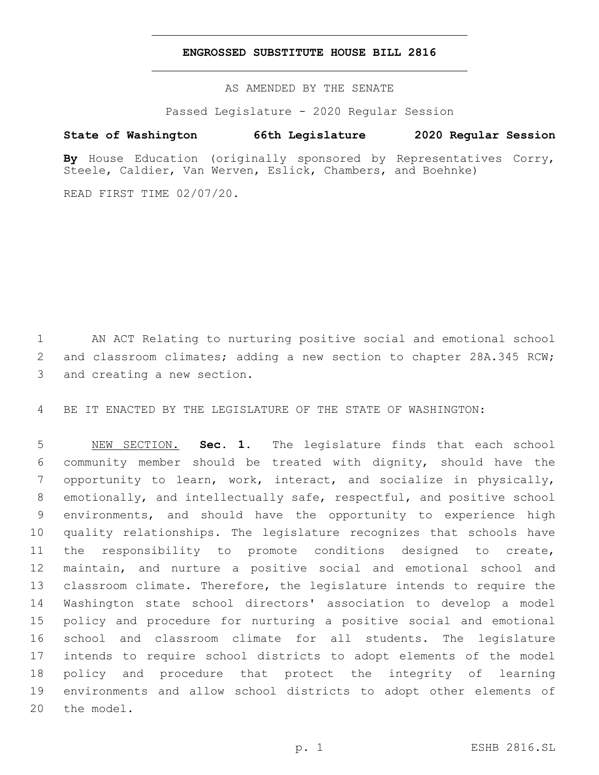### **ENGROSSED SUBSTITUTE HOUSE BILL 2816**

AS AMENDED BY THE SENATE

Passed Legislature - 2020 Regular Session

# **State of Washington 66th Legislature 2020 Regular Session**

**By** House Education (originally sponsored by Representatives Corry, Steele, Caldier, Van Werven, Eslick, Chambers, and Boehnke)

READ FIRST TIME 02/07/20.

 AN ACT Relating to nurturing positive social and emotional school 2 and classroom climates; adding a new section to chapter 28A.345 RCW; 3 and creating a new section.

BE IT ENACTED BY THE LEGISLATURE OF THE STATE OF WASHINGTON:

 NEW SECTION. **Sec. 1.** The legislature finds that each school community member should be treated with dignity, should have the opportunity to learn, work, interact, and socialize in physically, emotionally, and intellectually safe, respectful, and positive school environments, and should have the opportunity to experience high quality relationships. The legislature recognizes that schools have the responsibility to promote conditions designed to create, maintain, and nurture a positive social and emotional school and classroom climate. Therefore, the legislature intends to require the Washington state school directors' association to develop a model policy and procedure for nurturing a positive social and emotional school and classroom climate for all students. The legislature intends to require school districts to adopt elements of the model policy and procedure that protect the integrity of learning environments and allow school districts to adopt other elements of the model.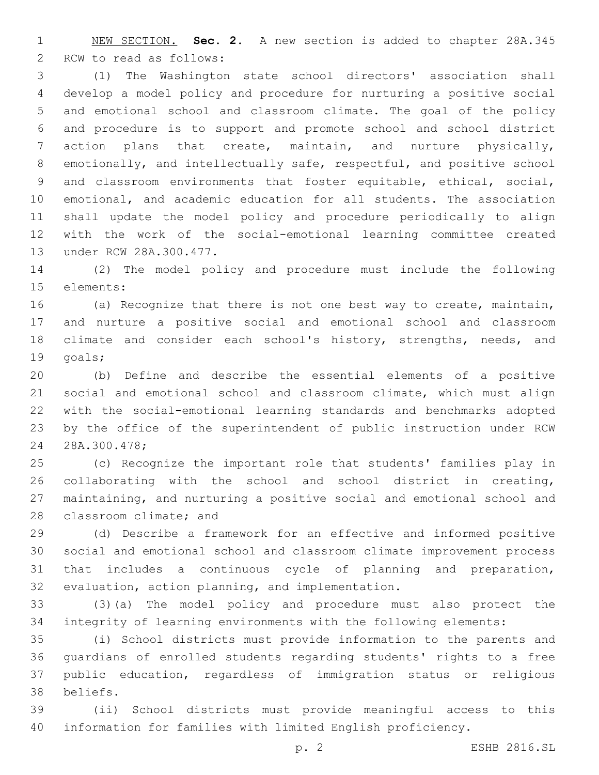NEW SECTION. **Sec. 2.** A new section is added to chapter 28A.345 2 RCW to read as follows:

 (1) The Washington state school directors' association shall develop a model policy and procedure for nurturing a positive social and emotional school and classroom climate. The goal of the policy and procedure is to support and promote school and school district action plans that create, maintain, and nurture physically, emotionally, and intellectually safe, respectful, and positive school and classroom environments that foster equitable, ethical, social, emotional, and academic education for all students. The association shall update the model policy and procedure periodically to align with the work of the social-emotional learning committee created 13 under RCW 28A.300.477.

 (2) The model policy and procedure must include the following 15 elements:

 (a) Recognize that there is not one best way to create, maintain, and nurture a positive social and emotional school and classroom 18 climate and consider each school's history, strengths, needs, and 19 qoals;

 (b) Define and describe the essential elements of a positive social and emotional school and classroom climate, which must align with the social-emotional learning standards and benchmarks adopted by the office of the superintendent of public instruction under RCW 28A.300.478;24

 (c) Recognize the important role that students' families play in collaborating with the school and school district in creating, maintaining, and nurturing a positive social and emotional school and 28 classroom climate; and

 (d) Describe a framework for an effective and informed positive social and emotional school and classroom climate improvement process that includes a continuous cycle of planning and preparation, 32 evaluation, action planning, and implementation.

 (3)(a) The model policy and procedure must also protect the integrity of learning environments with the following elements:

 (i) School districts must provide information to the parents and guardians of enrolled students regarding students' rights to a free public education, regardless of immigration status or religious beliefs.38

 (ii) School districts must provide meaningful access to this information for families with limited English proficiency.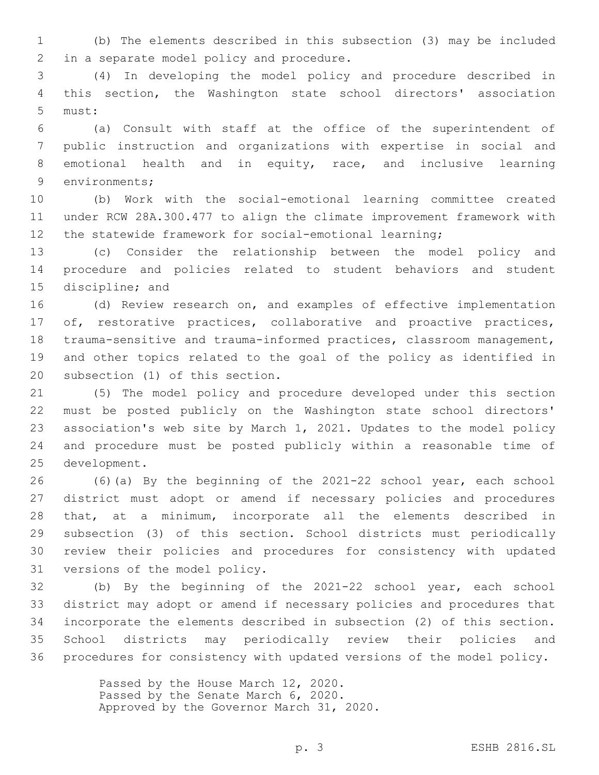(b) The elements described in this subsection (3) may be included 2 in a separate model policy and procedure.

 (4) In developing the model policy and procedure described in this section, the Washington state school directors' association 5 must:

 (a) Consult with staff at the office of the superintendent of public instruction and organizations with expertise in social and emotional health and in equity, race, and inclusive learning 9 environments;

 (b) Work with the social-emotional learning committee created under RCW 28A.300.477 to align the climate improvement framework with 12 the statewide framework for social-emotional learning;

 (c) Consider the relationship between the model policy and procedure and policies related to student behaviors and student 15 discipline; and

 (d) Review research on, and examples of effective implementation 17 of, restorative practices, collaborative and proactive practices, trauma-sensitive and trauma-informed practices, classroom management, and other topics related to the goal of the policy as identified in 20 subsection (1) of this section.

 (5) The model policy and procedure developed under this section must be posted publicly on the Washington state school directors' association's web site by March 1, 2021. Updates to the model policy and procedure must be posted publicly within a reasonable time of 25 development.

 (6)(a) By the beginning of the 2021-22 school year, each school district must adopt or amend if necessary policies and procedures that, at a minimum, incorporate all the elements described in subsection (3) of this section. School districts must periodically review their policies and procedures for consistency with updated 31 versions of the model policy.

 (b) By the beginning of the 2021-22 school year, each school district may adopt or amend if necessary policies and procedures that incorporate the elements described in subsection (2) of this section. School districts may periodically review their policies and procedures for consistency with updated versions of the model policy.

> Passed by the House March 12, 2020. Passed by the Senate March 6, 2020. Approved by the Governor March 31, 2020.